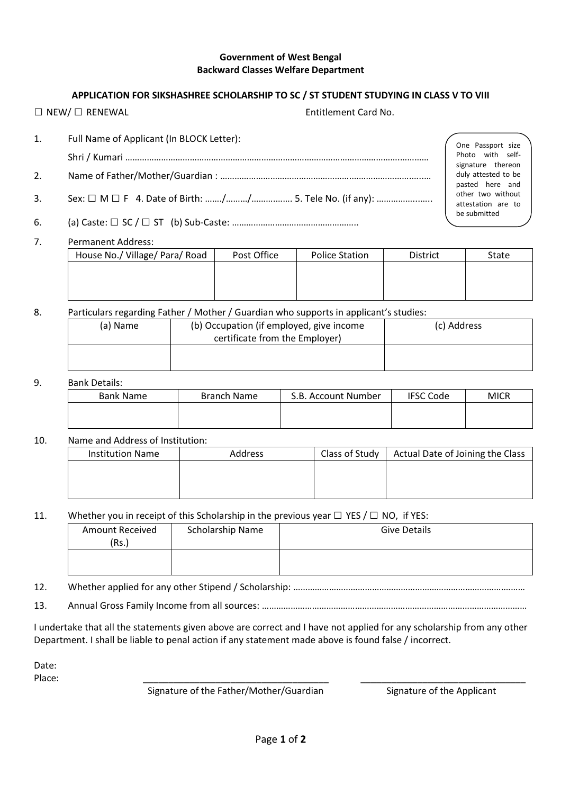#### Government of West Bengal Backward Classes Welfare Department

## APPLICATION FOR SIKSHASHREE SCHOLARSHIP TO SC / ST STUDENT STUDYING IN CLASS V TO VIII

□ NEW/ □ RENEWAL Entitlement Card No.

- 1. Full Name of Applicant (In BLOCK Letter): Shri / Kumari …………………………………………………………………………………………………….…………
- 2. Name of Father/Mother/Guardian : ……………………………………………….…………………….…..…
- 3. Sex: □ M □ F 4. Date of Birth: ……./………/……….……. 5. Tele No. (if any): ……………...…..
- 6. (a) Caste:  $\Box$  SC /  $\Box$  ST (b) Sub-Caste: ………………………………………………………………………………………

# 7. Permanent Address:

| ---------------------          |             |                       |                 |       |
|--------------------------------|-------------|-----------------------|-----------------|-------|
| House No./ Village/ Para/ Road | Post Office | <b>Police Station</b> | <b>District</b> | State |
|                                |             |                       |                 |       |
|                                |             |                       |                 |       |
|                                |             |                       |                 |       |

### 8. Particulars regarding Father / Mother / Guardian who supports in applicant's studies:

| (a) Name | (b) Occupation (if employed, give income<br>certificate from the Employer) | (c) Address |
|----------|----------------------------------------------------------------------------|-------------|
|          |                                                                            |             |

### 9. Bank Details:

| - - - - - - - - - - - - - - |             |                     |                  |             |
|-----------------------------|-------------|---------------------|------------------|-------------|
| Bank Name                   | Branch Name | S.B. Account Number | <b>IFSC Code</b> | <b>MICR</b> |
|                             |             |                     |                  |             |
|                             |             |                     |                  |             |

## 10. Name and Address of Institution:

| <b>Institution Name</b> | Address | Class of Study | Actual Date of Joining the Class |  |
|-------------------------|---------|----------------|----------------------------------|--|
|                         |         |                |                                  |  |
|                         |         |                |                                  |  |
|                         |         |                |                                  |  |

### 11. Whether you in receipt of this Scholarship in the previous year  $\Box$  YES /  $\Box$  NO, if YES:

| <b>Amount Received</b><br>(Rs.) | Scholarship Name | <b>Give Details</b> |
|---------------------------------|------------------|---------------------|
|                                 |                  |                     |

- 12. Whether applied for any other Stipend / Scholarship: …………………………………………………………………………….………
- 13. Annual Gross Family Income from all sources: …………………………………………………………………………………………………

I undertake that all the statements given above are correct and I have not applied for any scholarship from any other Department. I shall be liable to penal action if any statement made above is found false / incorrect.

Date:

Place: \_\_\_\_\_\_\_\_\_\_\_\_\_\_\_\_\_\_\_\_\_\_\_\_\_\_\_\_\_\_\_\_\_\_\_\_ \_\_\_\_\_\_\_\_\_\_\_\_\_\_\_\_\_\_\_\_\_\_\_\_\_\_\_\_\_\_\_\_

Signature of the Father/Mother/Guardian Signature of the Applicant

One Passport size Photo with selfsignature thereon duly attested to be pasted here and other two without attestation are to be submitted